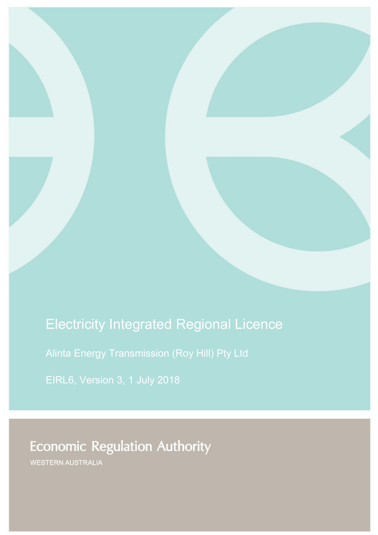# Electricity Integrated Regional Licence

Alinta Energy Transmission (Roy Hill) Pty Ltd

EIRL6, Version 3, 1 July 2018

**Economic Regulation Authority** 

WESTERN AUSTRALIA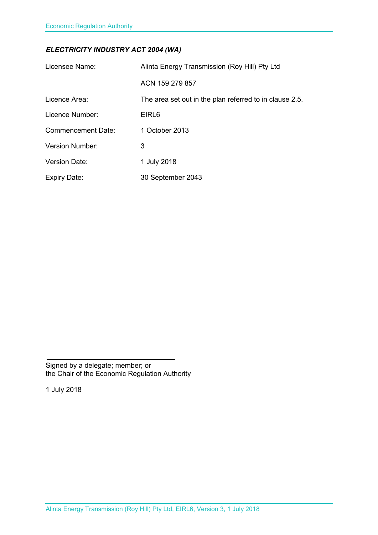### *ELECTRICITY INDUSTRY ACT 2004 (WA)*

| Licensee Name:            | Alinta Energy Transmission (Roy Hill) Pty Ltd           |
|---------------------------|---------------------------------------------------------|
|                           | ACN 159 279 857                                         |
| Licence Area:             | The area set out in the plan referred to in clause 2.5. |
| Licence Number:           | EIRL <sub>6</sub>                                       |
| <b>Commencement Date:</b> | 1 October 2013                                          |
| <b>Version Number:</b>    | 3                                                       |
| <b>Version Date:</b>      | 1 July 2018                                             |
| <b>Expiry Date:</b>       | 30 September 2043                                       |

Signed by a delegate; member; or the Chair of the Economic Regulation Authority

1 July 2018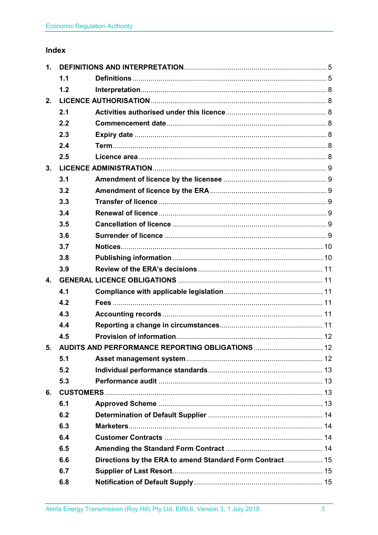## Index

| 1 <sub>1</sub> |     |                                                           |  |
|----------------|-----|-----------------------------------------------------------|--|
|                | 1.1 |                                                           |  |
|                | 1.2 |                                                           |  |
| 2.             |     |                                                           |  |
|                | 2.1 |                                                           |  |
|                | 2.2 |                                                           |  |
|                | 2.3 |                                                           |  |
|                | 2.4 |                                                           |  |
|                | 2.5 |                                                           |  |
| 3.             |     |                                                           |  |
|                | 3.1 |                                                           |  |
|                | 3.2 |                                                           |  |
|                | 3.3 |                                                           |  |
|                | 3.4 |                                                           |  |
|                | 3.5 |                                                           |  |
|                | 3.6 |                                                           |  |
|                | 3.7 |                                                           |  |
|                | 3.8 |                                                           |  |
|                | 3.9 |                                                           |  |
| 4.             |     |                                                           |  |
|                | 4.1 |                                                           |  |
|                | 4.2 |                                                           |  |
|                | 4.3 |                                                           |  |
|                | 4.4 |                                                           |  |
|                | 4.5 |                                                           |  |
| 5.             |     |                                                           |  |
|                | 5.1 |                                                           |  |
|                | 5.2 |                                                           |  |
|                | 5.3 |                                                           |  |
| 6.             |     |                                                           |  |
|                | 6.1 |                                                           |  |
|                | 6.2 |                                                           |  |
|                | 6.3 |                                                           |  |
|                | 6.4 |                                                           |  |
|                | 6.5 |                                                           |  |
|                | 6.6 | Directions by the ERA to amend Standard Form Contract  15 |  |
|                | 6.7 |                                                           |  |
|                | 6.8 |                                                           |  |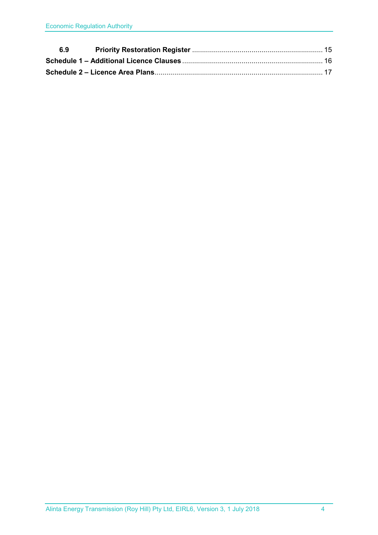| 6.9 |  |
|-----|--|
|     |  |
|     |  |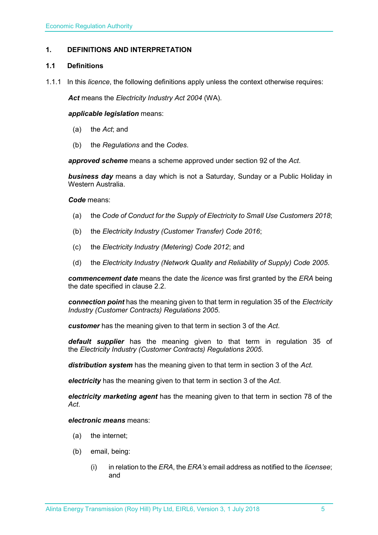#### <span id="page-4-0"></span>**1. DEFINITIONS AND INTERPRETATION**

#### <span id="page-4-1"></span>**1.1 Definitions**

1.1.1 In this *licence*, the following definitions apply unless the context otherwise requires:

*Act* means the *Electricity Industry Act 2004* (WA).

#### *applicable legislation* means:

- (a) the *Act*; and
- (b) the *Regulations* and the *Codes*.

*approved scheme* means a scheme approved under section 92 of the *Act*.

*business day* means a day which is not a Saturday, Sunday or a Public Holiday in Western Australia.

#### *Code* means:

- (a) the *Code of Conduct for the Supply of Electricity to Small Use Customers 2018*;
- (b) the *Electricity Industry (Customer Transfer) Code 2016*;
- (c) the *Electricity Industry (Metering) Code 2012*; and
- (d) the *Electricity Industry (Network Quality and Reliability of Supply) Code 2005*.

*commencement date* means the date the *licence* was first granted by the *ERA* being the date specified in clause 2.2.

*connection point* has the meaning given to that term in regulation 35 of the *[Electricity](http://www.slp.wa.gov.au/legislation/statutes.nsf/main_mrtitle_1345_homepage.html)  [Industry \(Customer Contracts\) Regulations 2005](http://www.slp.wa.gov.au/legislation/statutes.nsf/main_mrtitle_1345_homepage.html)*.

*customer* has the meaning given to that term in section 3 of the *Act*.

*default supplier* has the meaning given to that term in regulation 35 of the *Electricity [Industry \(Customer Contracts\) Regulations 2005.](http://www.slp.wa.gov.au/legislation/statutes.nsf/main_mrtitle_1345_homepage.html)*

*distribution system* has the meaning given to that term in section 3 of the *Act*.

*electricity* has the meaning given to that term in section 3 of the *Act*.

*electricity marketing agent* has the meaning given to that term in section 78 of the *Act*.

#### *electronic means* means:

- (a) the internet;
- (b) email, being:
	- (i) in relation to the *ERA*, the *ERA's* email address as notified to the *licensee*; and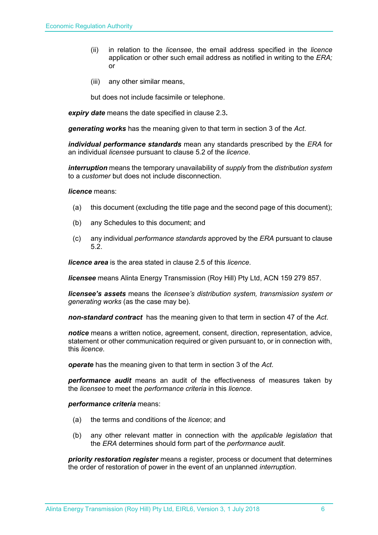- (ii) in relation to the *licensee*, the email address specified in the *licence* application or other such email address as notified in writing to the *ERA;* or
- (iii) any other similar means,

but does not include facsimile or telephone.

*expiry date* means the date specified in clause 2.3*.*

*generating works* has the meaning given to that term in section 3 of the *Act*.

*individual performance standards* mean any standards prescribed by the *ERA* for an individual *licensee* pursuant to clause 5.2 of the *licence*.

*interruption* means the temporary unavailability of *supply* from the *distribution system* to a *customer* but does not include disconnection.

*licence* means:

- (a) this document (excluding the title page and the second page of this document);
- (b) any Schedules to this document; and
- (c) any individual *performance standards* approved by the *ERA* pursuant to clause 5.2.

*licence area* is the area stated in clause 2.5 of this *licence*.

*licensee* means Alinta Energy Transmission (Roy Hill) Pty Ltd, ACN 159 279 857.

*licensee's assets* means the *licensee's distribution system, transmission system or generating works* (as the case may be).

*non-standard contract* has the meaning given to that term in section 47 of the *Act*.

*notice* means a written notice, agreement, consent, direction, representation, advice, statement or other communication required or given pursuant to, or in connection with, this *licence*.

*operate* has the meaning given to that term in section 3 of the *Act*.

*performance audit* means an audit of the effectiveness of measures taken by the *licensee* to meet the *performance criteria* in this *licence*.

*performance criteria* means:

- (a) the terms and conditions of the *licence*; and
- (b) any other relevant matter in connection with the *applicable legislation* that the *ERA* determines should form part of the *performance audit*.

*priority restoration register* means a register, process or document that determines the order of restoration of power in the event of an unplanned *interruption*.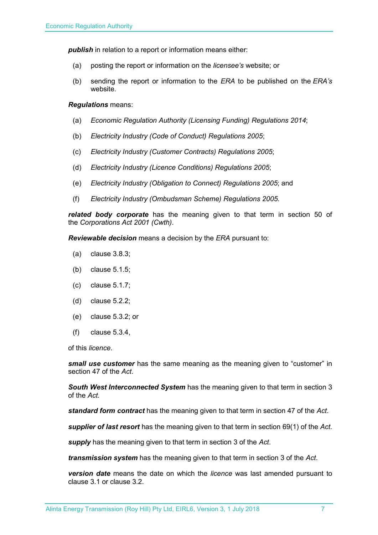**publish** in relation to a report or information means either:

- (a) posting the report or information on the *licensee's* website; or
- (b) sending the report or information to the *ERA* to be published on the *ERA's* website.

#### *Regulations* means:

- (a) *Economic Regulation Authority (Licensing Funding) Regulations 2014*;
- (b) *Electricity Industry (Code of Conduct) Regulations 2005*;
- (c) *Electricity Industry (Customer Contracts) Regulations 2005*;
- (d) *Electricity Industry (Licence Conditions) Regulations 2005*;
- (e) *Electricity Industry (Obligation to Connect) Regulations 2005*; and
- (f) *Electricity Industry (Ombudsman Scheme) Regulations 2005.*

*related body corporate* has the meaning given to that term in section 50 of the *Corporations Act 2001 (Cwth)*.

*Reviewable decision* means a decision by the *ERA* pursuant to:

- (a) clause 3.8.3;
- (b) clause 5.1.5;
- (c) clause 5.1.7;
- (d) clause 5.2.2;
- (e) clause 5.3.2; or
- (f) clause 5.3.4,

of this *licence*.

*small use customer* has the same meaning as the meaning given to "customer" in section 47 of the *Act*.

*South West Interconnected System* has the meaning given to that term in section 3 of the *Act.* 

*standard form contract* has the meaning given to that term in section 47 of the *Act*.

*supplier of last resort* has the meaning given to that term in section 69(1) of the *Act*.

*supply* has the meaning given to that term in section 3 of the *Act*.

*transmission system* has the meaning given to that term in section 3 of the *Act*.

*version date* means the date on which the *licence* was last amended pursuant to clause 3.1 or clause 3.2.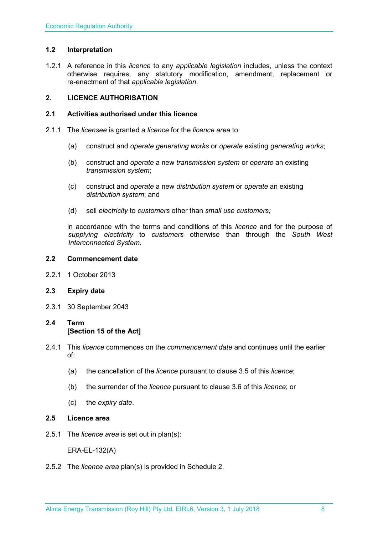#### <span id="page-7-0"></span>**1.2 Interpretation**

1.2.1 A reference in this *licence* to any *applicable legislation* includes, unless the context otherwise requires, any statutory modification, amendment, replacement or re-enactment of that *applicable legislation*.

#### <span id="page-7-1"></span>**2. LICENCE AUTHORISATION**

#### <span id="page-7-2"></span>**2.1 Activities authorised under this licence**

- 2.1.1 The *licensee* is granted a *licence* for the *licence area* to:
	- (a) construct and *operate generating works* or *operate* existing *generating works*;
	- (b) construct and *operate* a new *transmission system* or *operate* an existing *transmission system*;
	- (c) construct and *operate* a new *distribution system* or *operate* an existing *distribution system*; and
	- (d) sell *electricity* to *customers* other than *small use customers;*

in accordance with the terms and conditions of this *licence* and for the purpose of *supplying electricity* to *customers* otherwise than through the *South West Interconnected System*.

#### <span id="page-7-3"></span>**2.2 Commencement date**

2.2.1 1 October 2013

#### <span id="page-7-4"></span>**2.3 Expiry date**

2.3.1 30 September 2043

### <span id="page-7-5"></span>**2.4 Term [Section 15 of the Act]**

- 2.4.1 This *licence* commences on the *commencement date* and continues until the earlier of:
	- (a) the cancellation of the *licence* pursuant to clause 3.5 of this *licence*;
	- (b) the surrender of the *licence* pursuant to clause 3.6 of this *licence*; or
	- (c) the *expiry date*.

#### <span id="page-7-6"></span>**2.5 Licence area**

2.5.1 The *licence area* is set out in plan(s):

ERA-EL-132(A)

2.5.2 The *licence area* plan(s) is provided in Schedule 2.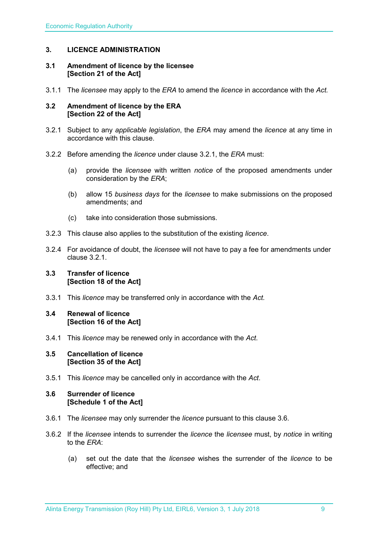#### <span id="page-8-0"></span>**3. LICENCE ADMINISTRATION**

#### <span id="page-8-1"></span>**3.1 Amendment of licence by the licensee [Section 21 of the Act]**

3.1.1 The *licensee* may apply to the *ERA* to amend the *licence* in accordance with the *Act.*

#### <span id="page-8-2"></span>**3.2 Amendment of licence by the ERA [Section 22 of the Act]**

- 3.2.1 Subject to any *applicable legislation*, the *ERA* may amend the *licence* at any time in accordance with this clause.
- 3.2.2 Before amending the *licence* under clause 3.2.1, the *ERA* must:
	- (a) provide the *licensee* with written *notice* of the proposed amendments under consideration by the *ERA*;
	- (b) allow 15 *business days* for the *licensee* to make submissions on the proposed amendments; and
	- (c) take into consideration those submissions.
- 3.2.3 This clause also applies to the substitution of the existing *licence*.
- 3.2.4 For avoidance of doubt, the *licensee* will not have to pay a fee for amendments under clause 3.2.1.

#### <span id="page-8-3"></span>**3.3 Transfer of licence [Section 18 of the Act]**

3.3.1 This *licence* may be transferred only in accordance with the *Act.*

#### <span id="page-8-4"></span>**3.4 Renewal of licence [Section 16 of the Act]**

3.4.1 This *licence* may be renewed only in accordance with the *Act*.

#### <span id="page-8-5"></span>**3.5 Cancellation of licence [Section 35 of the Act]**

3.5.1 This *licence* may be cancelled only in accordance with the *Act*.

#### <span id="page-8-6"></span>**3.6 Surrender of licence [Schedule 1 of the Act]**

- 3.6.1 The *licensee* may only surrender the *licence* pursuant to this clause 3.6.
- 3.6.2 If the *licensee* intends to surrender the *licence* the *licensee* must, by *notice* in writing to the *ERA*:
	- (a) set out the date that the *licensee* wishes the surrender of the *licence* to be effective; and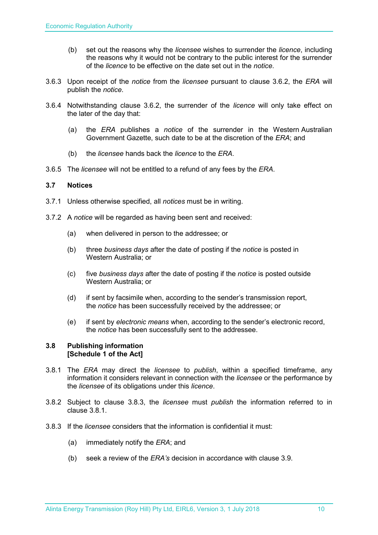- (b) set out the reasons why the *licensee* wishes to surrender the *licence*, including the reasons why it would not be contrary to the public interest for the surrender of the *licence* to be effective on the date set out in the *notice*.
- 3.6.3 Upon receipt of the *notice* from the *licensee* pursuant to clause 3.6.2, the *ERA* will publish the *notice*.
- 3.6.4 Notwithstanding clause 3.6.2, the surrender of the *licence* will only take effect on the later of the day that:
	- (a) the *ERA* publishes a *notice* of the surrender in the Western Australian Government Gazette, such date to be at the discretion of the *ERA*; and
	- (b) the *licensee* hands back the *licence* to the *ERA*.
- 3.6.5 The *licensee* will not be entitled to a refund of any fees by the *ERA*.

#### <span id="page-9-0"></span>**3.7 Notices**

- 3.7.1 Unless otherwise specified, all *notices* must be in writing.
- 3.7.2 A *notice* will be regarded as having been sent and received:
	- (a) when delivered in person to the addressee; or
	- (b) three *business days* after the date of posting if the *notice* is posted in Western Australia; or
	- (c) five *business days* after the date of posting if the *notice* is posted outside Western Australia; or
	- (d) if sent by facsimile when, according to the sender's transmission report, the *notice* has been successfully received by the addressee; or
	- (e) if sent by *electronic means* when, according to the sender's electronic record, the *notice* has been successfully sent to the addressee.

#### <span id="page-9-1"></span>**3.8 Publishing information [Schedule 1 of the Act]**

- 3.8.1 The *ERA* may direct the *licensee* to *publish*, within a specified timeframe, any information it considers relevant in connection with the *licensee* or the performance by the *licensee* of its obligations under this *licence*.
- 3.8.2 Subject to clause 3.8.3, the *licensee* must *publish* the information referred to in clause 3.8.1.
- 3.8.3 If the *licensee* considers that the information is confidential it must:
	- (a) immediately notify the *ERA*; and
	- (b) seek a review of the *ERA's* decision in accordance with clause 3.9.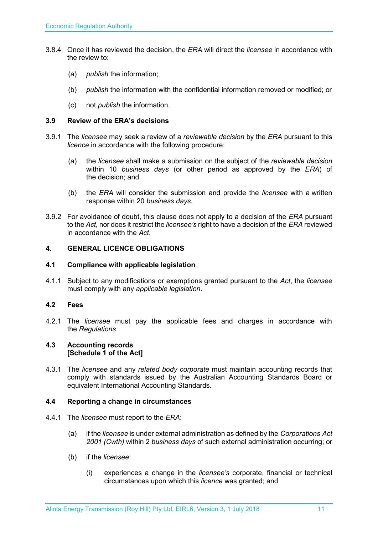- 3.8.4 Once it has reviewed the decision, the *ERA* will direct the *licensee* in accordance with the review to:
	- (a) *publish* the information;
	- (b) *publish* the information with the confidential information removed or modified; or
	- (c) not *publish* the information.

#### <span id="page-10-0"></span>**3.9 Review of the ERA's decisions**

- 3.9.1 The *licensee* may seek a review of a *reviewable decision* by the *ERA* pursuant to this *licence* in accordance with the following procedure:
	- (a) the *licensee* shall make a submission on the subject of the *reviewable decision* within 10 *business days* (or other period as approved by the *ERA*) of the decision; and
	- (b) the *ERA* will consider the submission and provide the *licensee* with a written response within 20 *business days*.
- 3.9.2 For avoidance of doubt, this clause does not apply to a decision of the *ERA* pursuant to the *Act*, nor does it restrict the *licensee's* right to have a decision of the *ERA* reviewed in accordance with the *Act*.

#### <span id="page-10-1"></span>**4. GENERAL LICENCE OBLIGATIONS**

#### <span id="page-10-2"></span>**4.1 Compliance with applicable legislation**

4.1.1 Subject to any modifications or exemptions granted pursuant to the *Act*, the *licensee* must comply with any *applicable legislation*.

#### <span id="page-10-3"></span>**4.2 Fees**

4.2.1 The *licensee* must pay the applicable fees and charges in accordance with the *Regulations*.

#### <span id="page-10-4"></span>**4.3 Accounting records [Schedule 1 of the Act]**

4.3.1 The *licensee* and any *related body corporate* must maintain accounting records that comply with standards issued by the Australian Accounting Standards Board or equivalent International Accounting Standards.

#### <span id="page-10-5"></span>**4.4 Reporting a change in circumstances**

- 4.4.1 The *licensee* must report to the *ERA*:
	- (a) if the *licensee* is under external administration as defined by the *Corporations Act 2001 (Cwth)* within 2 *business days* of such external administration occurring; or
	- (b) if the *licensee*:
		- (i) experiences a change in the *licensee's* corporate, financial or technical circumstances upon which this *licence* was granted; and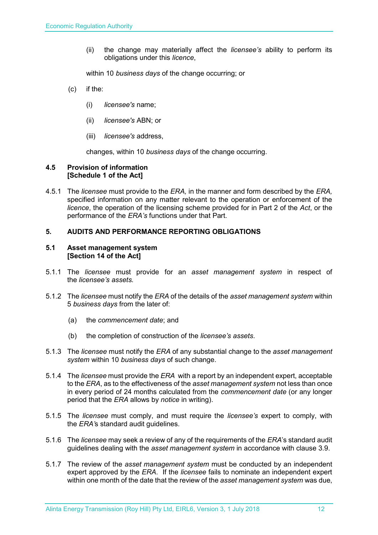(ii) the change may materially affect the *licensee's* ability to perform its obligations under this *licence*,

within 10 *business days* of the change occurring; or

- (c) if the:
	- (i) *licensee's* name;
	- (ii) *licensee's* ABN; or
	- (iii) *licensee's* address,

changes, within 10 *business days* of the change occurring.

#### <span id="page-11-0"></span>**4.5 Provision of information [Schedule 1 of the Act]**

4.5.1 The *licensee* must provide to the *ERA,* in the manner and form described by the *ERA,*  specified information on any matter relevant to the operation or enforcement of the *licence*, the operation of the licensing scheme provided for in Part 2 of the *Act*, or the performance of the *ERA's* functions under that Part.

#### <span id="page-11-1"></span>**5. AUDITS AND PERFORMANCE REPORTING OBLIGATIONS**

#### <span id="page-11-2"></span>**5.1 Asset management system [Section 14 of the Act]**

- 5.1.1 The *licensee* must provide for an *asset management system* in respect of the *licensee's assets.*
- 5.1.2 The *licensee* must notify the *ERA* of the details of the *asset management system* within 5 *business days* from the later of:
	- (a) the *commencement date*; and
	- (b) the completion of construction of the *licensee's assets*.
- 5.1.3 The *licensee* must notify the *ERA* of any substantial change to the *asset management system* within 10 *business days* of such change.
- 5.1.4 The *licensee* must provide the *ERA* with a report by an independent expert, acceptable to the *ERA*, as to the effectiveness of the *asset management system* not less than once in every period of 24 months calculated from the *commencement date* (or any longer period that the *ERA* allows by *notice* in writing).
- 5.1.5 The *licensee* must comply, and must require the *licensee's* expert to comply, with the *ERA'*s standard audit guidelines.
- 5.1.6 The *licensee* may seek a review of any of the requirements of the *ERA*'s standard audit guidelines dealing with the *asset management system* in accordance with clause 3.9.
- 5.1.7 The review of the *asset management system* must be conducted by an independent expert approved by the *ERA*. If the *licensee* fails to nominate an independent expert within one month of the date that the review of the *asset management system* was due,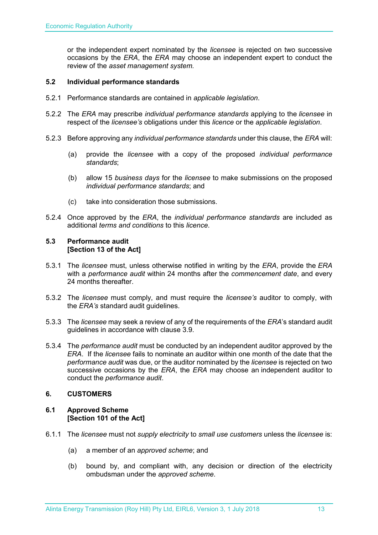or the independent expert nominated by the *licensee* is rejected on two successive occasions by the *ERA*, the *ERA* may choose an independent expert to conduct the review of the *asset management system.*

#### <span id="page-12-0"></span>**5.2 Individual performance standards**

- 5.2.1 Performance standards are contained in *applicable legislation*.
- 5.2.2 The *ERA* may prescribe *individual performance standards* applying to the *licensee* in respect of the *licensee's* obligations under this *licence* or the *applicable legislation*.
- 5.2.3 Before approving any *individual performance standards* under this clause, the *ERA* will:
	- (a) provide the *licensee* with a copy of the proposed *individual performance standards*;
	- (b) allow 15 *business days* for the *licensee* to make submissions on the proposed *individual performance standards*; and
	- (c) take into consideration those submissions.
- 5.2.4 Once approved by the *ERA*, the *individual performance standards* are included as additional *terms and conditions* to this *licence*.

#### <span id="page-12-1"></span>**5.3 Performance audit [Section 13 of the Act]**

- 5.3.1 The *licensee* must, unless otherwise notified in writing by the *ERA*, provide the *ERA* with a *performance audit* within 24 months after the *commencement date*, and every 24 months thereafter.
- 5.3.2 The *licensee* must comply, and must require the *licensee's* auditor to comply, with the *ERA's* standard audit guidelines.
- 5.3.3 The *licensee* may seek a review of any of the requirements of the *ERA*'s standard audit guidelines in accordance with clause 3.9.
- 5.3.4 The *performance audit* must be conducted by an independent auditor approved by the *ERA*. If the *licensee* fails to nominate an auditor within one month of the date that the *performance audit* was due, or the auditor nominated by the *licensee* is rejected on two successive occasions by the *ERA*, the *ERA* may choose an independent auditor to conduct the *performance audit*.

#### <span id="page-12-2"></span>**6. CUSTOMERS**

#### <span id="page-12-3"></span>**6.1 Approved Scheme [Section 101 of the Act]**

- 6.1.1 The *licensee* must not *supply electricity* to *small use customers* unless the *licensee* is:
	- (a) a member of an *approved scheme*; and
	- (b) bound by, and compliant with, any decision or direction of the electricity ombudsman under the *approved scheme*.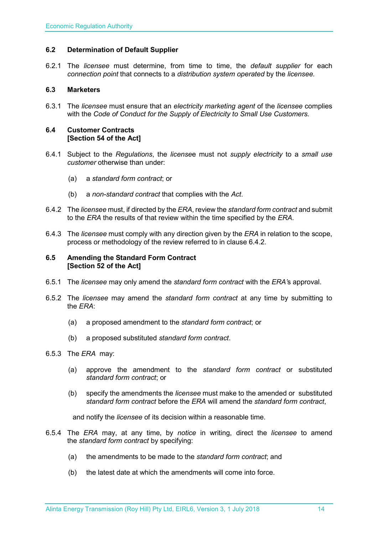#### <span id="page-13-0"></span>**6.2 Determination of Default Supplier**

6.2.1 The *licensee* must determine, from time to time, the *default supplier* for each *connection point* that connects to a *distribution system operated* by the *licensee.*

#### <span id="page-13-1"></span>**6.3 Marketers**

6.3.1 The *licensee* must ensure that an *electricity marketing agent* of the *licensee* complies with the *Code of Conduct for the Supply of Electricity to Small Use Customers.*

#### <span id="page-13-2"></span>**6.4 Customer Contracts [Section 54 of the Act]**

- 6.4.1 Subject to the *Regulations*, the *license*e must not *supply electricity* to a *small use customer* otherwise than under:
	- (a) a *standard form contract*; or
	- (b) a *non-standard contract* that complies with the *Act*.
- 6.4.2 The *licensee* must, if directed by the *ERA*, review the *standard form contract* and submit to the *ERA* the results of that review within the time specified by the *ERA*.
- 6.4.3 The *licensee* must comply with any direction given by the *ERA* in relation to the scope, process or methodology of the review referred to in clause 6.4.2.

#### <span id="page-13-3"></span>**6.5 Amending the Standard Form Contract [Section 52 of the Act]**

- 6.5.1 The *licensee* may only amend the *standard form contract* with the *ERA'*s approval.
- 6.5.2 The *licensee* may amend the *standard form contract* at any time by submitting to the *ERA*:
	- (a) a proposed amendment to the *standard form contract*; or
	- (b) a proposed substituted *standard form contract*.

#### 6.5.3 The *ERA* may:

- (a) approve the amendment to the *standard form contract* or substituted *standard form contract*; or
- (b) specify the amendments the *licensee* must make to the amended or substituted *standard form contract* before the *ERA* will amend the *standard form contract*,

and notify the *licensee* of its decision within a reasonable time.

- 6.5.4 The *ERA* may, at any time, by *notice* in writing, direct the *licensee* to amend the *standard form contract* by specifying:
	- (a) the amendments to be made to the *standard form contract*; and
	- (b) the latest date at which the amendments will come into force.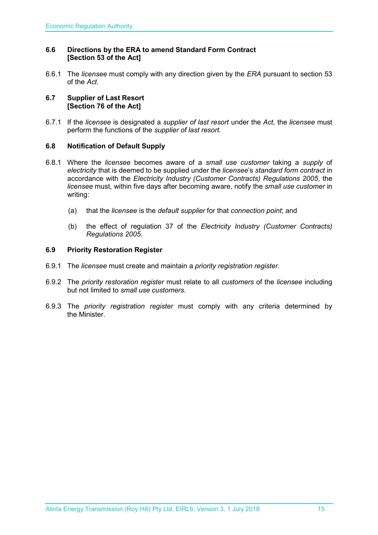#### <span id="page-14-0"></span>**6.6 Directions by the ERA to amend Standard Form Contract [Section 53 of the Act]**

6.6.1 The *licensee* must comply with any direction given by the *ERA* pursuant to section 53 of the *Act.* 

#### <span id="page-14-1"></span>**6.7 Supplier of Last Resort [Section 76 of the Act]**

6.7.1 If the *licensee* is designated a *supplier of last resort* under the *Act,* the *licensee* must perform the functions of the *supplier of last resort.* 

#### <span id="page-14-2"></span>**6.8 Notification of Default Supply**

- 6.8.1 Where the *licensee* becomes aware of a *small use customer* taking a *supply* of *electricity* that is deemed to be supplied under the *licensee*'s *standard form contract* in accordance with the *[Electricity Industry \(Customer Contracts\) Regulations 2005](http://www.slp.wa.gov.au/legislation/statutes.nsf/main_mrtitle_1345_homepage.html)*, the *licensee* must, within five days after becoming aware, notify the *small use customer* in writing:
	- (a) that the *licensee* is the *default supplier* for that *connection point*; and
	- (b) the effect of regulation 37 of the *[Electricity Industry \(Customer Contracts\)](http://www.slp.wa.gov.au/legislation/statutes.nsf/main_mrtitle_1345_homepage.html)  [Regulations 2005](http://www.slp.wa.gov.au/legislation/statutes.nsf/main_mrtitle_1345_homepage.html)*.

#### <span id="page-14-3"></span>**6.9 Priority Restoration Register**

- 6.9.1 The *licensee* must create and maintain a *priority registration register*.
- 6.9.2 The *priority restoration register* must relate to all *customers* of the *licensee* including but not limited to *small use customers.*
- 6.9.3 The *priority registration register* must comply with any criteria determined by the Minister.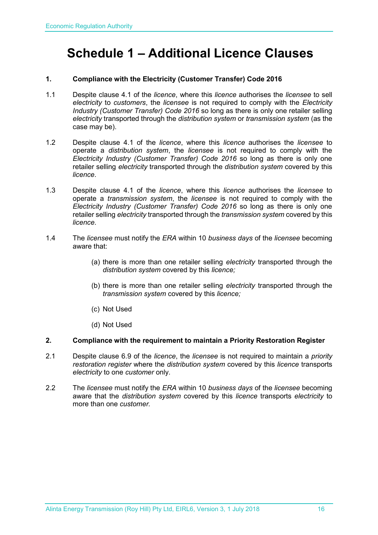# <span id="page-15-0"></span>**Schedule 1 – Additional Licence Clauses**

#### **1. Compliance with the Electricity (Customer Transfer) Code 2016**

- 1.1 Despite clause 4.1 of the *licence*, where this *licence* authorises the *licensee* to sell *electricity* to *customers*, the *licensee* is not required to comply with the *Electricity Industry (Customer Transfer) Code 2016* so long as there is only one retailer selling *electricity* transported through the *distribution system* or *transmission system* (as the case may be).
- 1.2 Despite clause 4.1 of the *licence*, where this *licence* authorises the *licensee* to operate a *distribution system*, the *licensee* is not required to comply with the *Electricity Industry (Customer Transfer) Code 2016* so long as there is only one retailer selling *electricity* transported through the *distribution system* covered by this *licence*.
- 1.3 Despite clause 4.1 of the *licence*, where this *licence* authorises the *licensee* to operate a *transmission system*, the *licensee* is not required to comply with the *Electricity Industry (Customer Transfer) Code 2016* so long as there is only one retailer selling *electricity* transported through the *transmission system* covered by this *licence*.
- 1.4 The *licensee* must notify the *ERA* within 10 *business days* of the *licensee* becoming aware that:
	- (a) there is more than one retailer selling *electricity* transported through the *distribution system* covered by this *licence;*
	- (b) there is more than one retailer selling *electricity* transported through the *transmission system* covered by this *licence;*
	- (c) Not Used
	- (d) Not Used

#### **2. Compliance with the requirement to maintain a Priority Restoration Register**

- 2.1 Despite clause 6.9 of the *licence*, the *licensee* is not required to maintain a *priority restoration register* where the *distribution system* covered by this *licence* transports *electricity* to one *customer* only.
- 2.2 The *licensee* must notify the *ERA* within 10 *business days* of the *licensee* becoming aware that the *distribution system* covered by this *licence* transports *electricity* to more than one *customer.*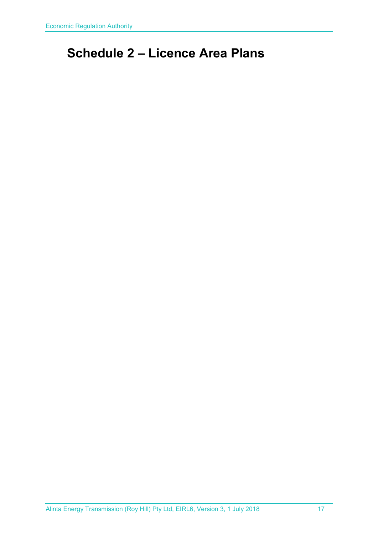# <span id="page-16-0"></span>**Schedule 2 – Licence Area Plans**